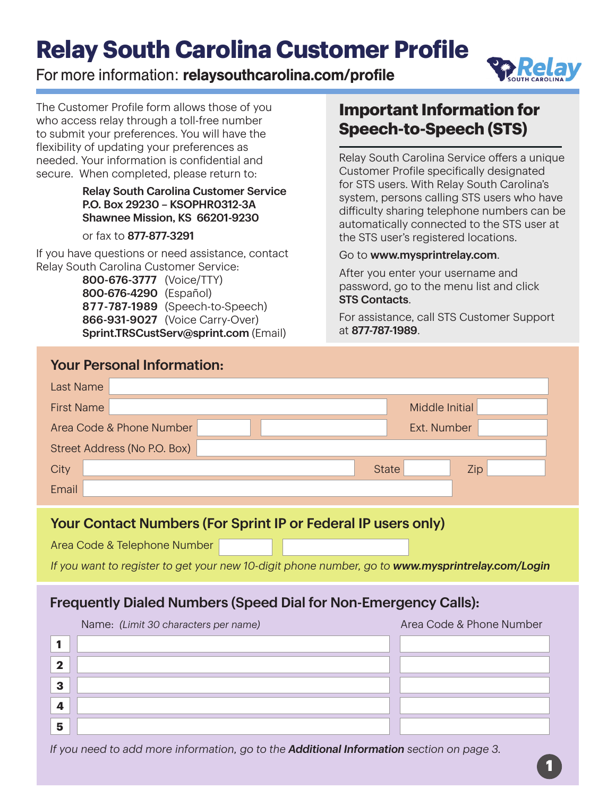# **Relay South Carolina Customer Profile**

### For more information: relaysouthcarolina.com/profile



The Customer Profile form allows those of you who access relay through a toll-free number to submit your preferences. You will have the flexibility of updating your preferences as needed. Your information is confidential and secure. When completed, please return to:

#### Relay South Carolina Customer Service P.O. Box 29230 – KSOPHR0312-3A Shawnee Mission, KS 66201-9230

or fax to 877-877-3291

 **2**

 **3**

 **4**

 **5**

If you have questions or need assistance, contact Relay South Carolina Customer Service:

> 800-676-3777 (Voice/TTY) 800-676-4290 (Español) 877-787-1989 (Speech-to-Speech) 866-931-9027 (Voice Carry-Over) Sprint.TRSCustServ@sprint.com (Email)

### **Important Information for Speech-to-Speech (STS)**

Relay South Carolina Service offers a unique Customer Profile specifically designated for STS users. With Relay South Carolina's system, persons calling STS users who have difficulty sharing telephone numbers can be automatically connected to the STS user at the STS user's registered locations.

#### Go to www.mysprintrelay.com.

After you enter your username and password, go to the menu list and click STS Contacts.

For assistance, call STS Customer Support at 877-787-1989.

| <b>Your Personal Information:</b>                                                                                                                                                                        |                     |  |  |
|----------------------------------------------------------------------------------------------------------------------------------------------------------------------------------------------------------|---------------------|--|--|
| <b>Last Name</b>                                                                                                                                                                                         |                     |  |  |
| <b>First Name</b>                                                                                                                                                                                        | Middle Initial      |  |  |
| Area Code & Phone Number                                                                                                                                                                                 | Ext. Number         |  |  |
| Street Address (No P.O. Box)                                                                                                                                                                             |                     |  |  |
| City                                                                                                                                                                                                     | <b>State</b><br>Zip |  |  |
| Email                                                                                                                                                                                                    |                     |  |  |
| Your Contact Numbers (For Sprint IP or Federal IP users only)<br>Area Code & Telephone Number<br>If you want to register to get your new 10-digit phone number, go to <b>www.mysprintrelay.com/Login</b> |                     |  |  |
| <b>Frequently Dialed Numbers (Speed Dial for Non-Emergency Calls):</b><br>Area Code & Phone Number<br>Name: (Limit 30 characters per name)                                                               |                     |  |  |
| 1                                                                                                                                                                                                        |                     |  |  |

*If you need to add more information, go to the Additional Information section on page 3.*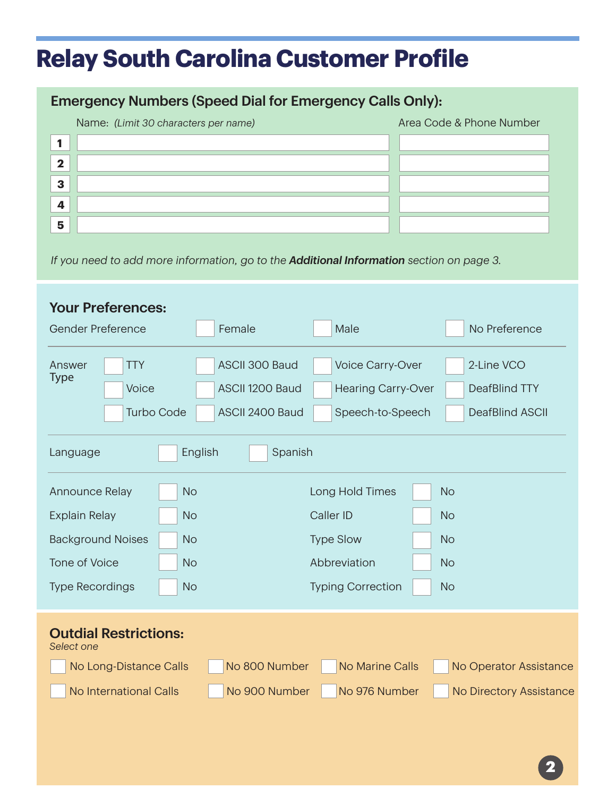## **Relay South Carolina Customer Profile**

### Emergency Numbers (Speed Dial for Emergency Calls Only):

|          | Name: (Limit 30 characters per name) | Area Code & Phone Number |
|----------|--------------------------------------|--------------------------|
|          |                                      |                          |
| - 2      |                                      |                          |
| 3        |                                      |                          |
| $\Delta$ |                                      |                          |
| 5        |                                      |                          |

*If you need to add more information, go to the Additional Information section on page 3.*

| <b>Your Preferences:</b>                                                     |                 |                           |                         |  |
|------------------------------------------------------------------------------|-----------------|---------------------------|-------------------------|--|
| Gender Preference                                                            | Female          | Male                      | No Preference           |  |
| <b>TTY</b><br>Answer<br><b>Type</b>                                          | ASCII 300 Baud  | Voice Carry-Over          | 2-Line VCO              |  |
| Voice                                                                        | ASCII 1200 Baud | <b>Hearing Carry-Over</b> | <b>DeafBlind TTY</b>    |  |
| <b>Turbo Code</b>                                                            | ASCII 2400 Baud | Speech-to-Speech          | <b>DeafBlind ASCII</b>  |  |
| English<br>Spanish<br>Language                                               |                 |                           |                         |  |
| Announce Relay                                                               | <b>No</b>       | Long Hold Times           | <b>No</b>               |  |
| Caller ID<br><b>Explain Relay</b><br><b>No</b><br><b>No</b>                  |                 |                           |                         |  |
| <b>Background Noises</b>                                                     | <b>No</b>       | <b>Type Slow</b>          | <b>No</b>               |  |
| <b>Tone of Voice</b>                                                         | <b>No</b>       | Abbreviation              | <b>No</b>               |  |
| <b>Type Recordings</b><br><b>Typing Correction</b><br><b>No</b><br><b>No</b> |                 |                           |                         |  |
| <b>Outdial Restrictions:</b><br>Select one                                   |                 |                           |                         |  |
| No Long-Distance Calls                                                       | No 800 Number   | <b>No Marine Calls</b>    | No Operator Assistance  |  |
| <b>No International Calls</b>                                                | No 900 Number   | No 976 Number             | No Directory Assistance |  |